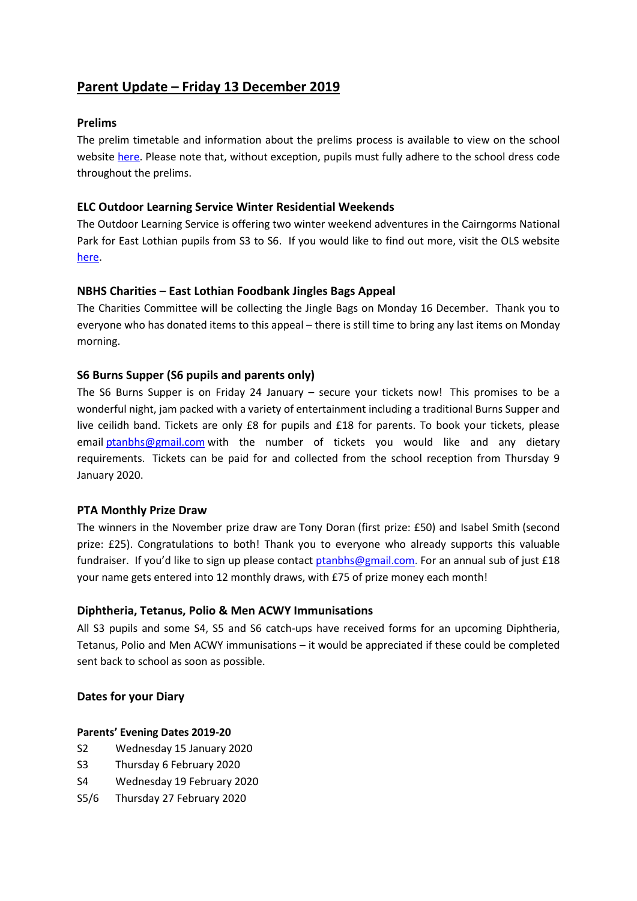# **Parent Update – Friday 13 December 2019**

## **Prelims**

The prelim timetable and information about the prelims process is available to view on the school website [here.](https://www.edubuzz.org/northberwickhigh/2019/12/05/january-2020-prelims/) Please note that, without exception, pupils must fully adhere to the school dress code throughout the prelims.

## **ELC Outdoor Learning Service Winter Residential Weekends**

The Outdoor Learning Service is offering two winter weekend adventures in the Cairngorms National Park for East Lothian pupils from S3 to S6. If you would like to find out more, visit the OLS website [here.](https://www.edubuzz.org/eloes/2019/12/12/winter-adventure-residential-weekends-in-the-cairngorms/)

## **NBHS Charities – East Lothian Foodbank Jingles Bags Appeal**

The Charities Committee will be collecting the Jingle Bags on Monday 16 December. Thank you to everyone who has donated items to this appeal – there is still time to bring any last items on Monday morning.

## **S6 Burns Supper (S6 pupils and parents only)**

The S6 Burns Supper is on Friday 24 January – secure your tickets now! This promises to be a wonderful night, jam packed with a variety of entertainment including a traditional Burns Supper and live ceilidh band. Tickets are only £8 for pupils and £18 for parents. To book your tickets, please email [ptanbhs@gmail.com](mailto:ptanbhs@gmail.com) with the number of tickets you would like and any dietary requirements. Tickets can be paid for and collected from the school reception from Thursday 9 January 2020.

## **PTA Monthly Prize Draw**

The winners in the November prize draw are Tony Doran (first prize: £50) and Isabel Smith (second prize: £25). Congratulations to both! Thank you to everyone who already supports this valuable fundraiser. If you'd like to sign up please contact [ptanbhs@gmail.com.](mailto:ptanbhs@gmail.com) For an annual sub of just £18 your name gets entered into 12 monthly draws, with £75 of prize money each month!

## **Diphtheria, Tetanus, Polio & Men ACWY Immunisations**

All S3 pupils and some S4, S5 and S6 catch-ups have received forms for an upcoming Diphtheria, Tetanus, Polio and Men ACWY immunisations – it would be appreciated if these could be completed sent back to school as soon as possible.

## **Dates for your Diary**

## **Parents' Evening Dates 2019-20**

- S2 Wednesday 15 January 2020
- S3 Thursday 6 February 2020
- S4 Wednesday 19 February 2020
- S5/6 Thursday 27 February 2020